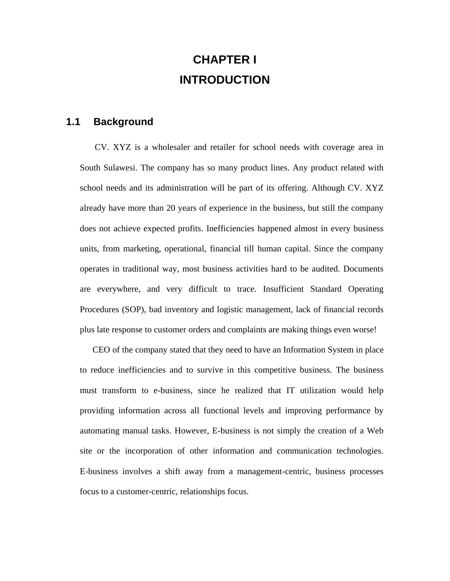# **CHAPTER I INTRODUCTION**

### **1.1 Background**

 CV. XYZ is a wholesaler and retailer for school needs with coverage area in South Sulawesi. The company has so many product lines. Any product related with school needs and its administration will be part of its offering. Although CV. XYZ already have more than 20 years of experience in the business, but still the company does not achieve expected profits. Inefficiencies happened almost in every business units, from marketing, operational, financial till human capital. Since the company operates in traditional way, most business activities hard to be audited. Documents are everywhere, and very difficult to trace. Insufficient Standard Operating Procedures (SOP), bad inventory and logistic management, lack of financial records plus late response to customer orders and complaints are making things even worse!

 CEO of the company stated that they need to have an Information System in place to reduce inefficiencies and to survive in this competitive business. The business must transform to e-business, since he realized that IT utilization would help providing information across all functional levels and improving performance by automating manual tasks. However, E-business is not simply the creation of a Web site or the incorporation of other information and communication technologies. E-business involves a shift away from a management-centric, business processes focus to a customer-centric, relationships focus.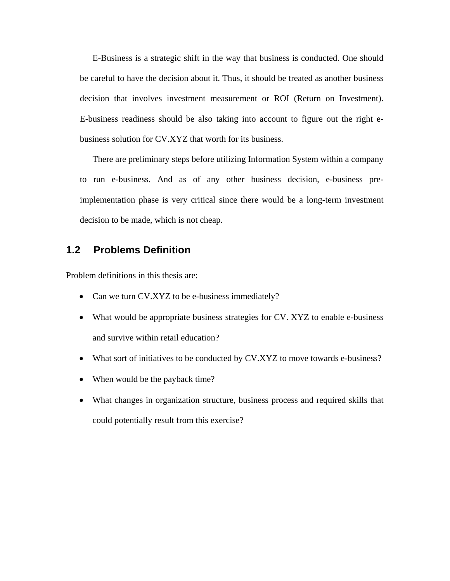E-Business is a strategic shift in the way that business is conducted. One should be careful to have the decision about it. Thus, it should be treated as another business decision that involves investment measurement or ROI (Return on Investment). E-business readiness should be also taking into account to figure out the right ebusiness solution for CV.XYZ that worth for its business.

 There are preliminary steps before utilizing Information System within a company to run e-business. And as of any other business decision, e-business preimplementation phase is very critical since there would be a long-term investment decision to be made, which is not cheap.

#### **1.2 Problems Definition**

Problem definitions in this thesis are:

- Can we turn CV.XYZ to be e-business immediately?
- What would be appropriate business strategies for CV. XYZ to enable e-business and survive within retail education?
- What sort of initiatives to be conducted by CV.XYZ to move towards e-business?
- When would be the payback time?
- What changes in organization structure, business process and required skills that could potentially result from this exercise?